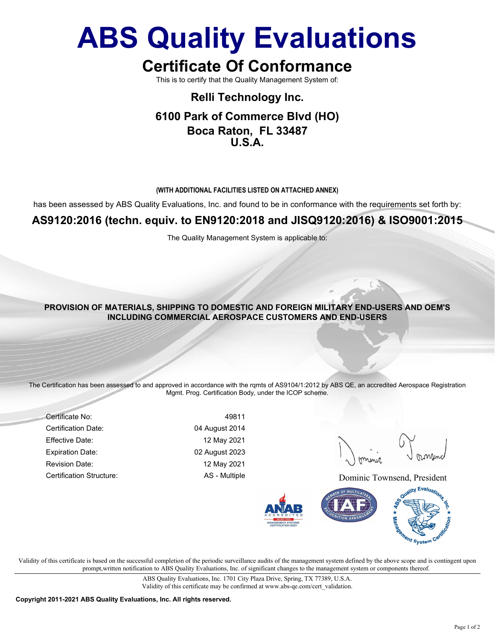# ABS Quality Evaluations

# Certificate Of Conformance

This is to certify that the Quality Management System of:

## Relli Technology Inc. 6100 Park of Commerce Blvd (HO) Boca Raton, FL 33487 U.S.A.

#### (WITH ADDITIONAL FACILITIES LISTED ON ATTACHED ANNEX)

has been assessed by ABS Quality Evaluations, Inc. and found to be in conformance with the requirements set forth by:

### AS9120:2016 (techn. equiv. to EN9120:2018 and JISQ9120:2016) & ISO9001:2015

The Quality Management System is applicable to:

#### PROVISION OF MATERIALS, SHIPPING TO DOMESTIC AND FOREIGN MILITARY END-USERS AND OEM'S INCLUDING COMMERCIAL AEROSPACE CUSTOMERS AND END-USERS

The Certification has been assessed to and approved in accordance with the rqmts of AS9104/1:2012 by ABS QE, an accredited Aerospace Registration Mgmt. Prog. Certification Body, under the ICOP scheme.

Certificate No: 49811 Certification Date: 04 August 2014 Effective Date: 12 May 2021 Expiration Date: 02 August 2023 Revision Date: 12 May 2021

Certification Structure: AS - Multiple Certification Structure: Dominic Townsend, President



Validity of this certificate is based on the successful completion of the periodic surveillance audits of the management system defined by the above scope and is contingent upon prompt,written notification to ABS Quality Evaluations, Inc. of significant changes to the management system or components thereof.

> ABS Quality Evaluations, Inc. 1701 City Plaza Drive, Spring, TX 77389, U.S.A. Validity of this certificate may be confirmed at www.abs-qe.com/cert\_validation.

Copyright 2011-2021 ABS Quality Evaluations, Inc. All rights reserved.